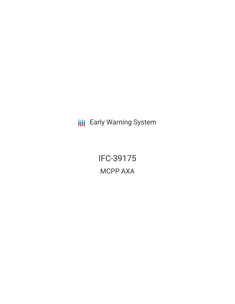**III** Early Warning System

IFC-39175 MCPP AXA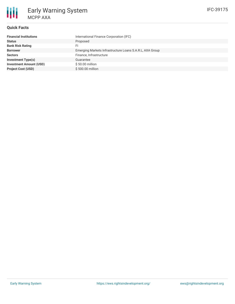

## **Quick Facts**

| <b>Financial Institutions</b>  | International Finance Corporation (IFC)                  |
|--------------------------------|----------------------------------------------------------|
| <b>Status</b>                  | Proposed                                                 |
| <b>Bank Risk Rating</b>        | FI.                                                      |
| <b>Borrower</b>                | Emerging Markets Infrastructure Loans S.A.R.L, AXA Group |
| <b>Sectors</b>                 | Finance, Infrastructure                                  |
| <b>Investment Type(s)</b>      | Guarantee                                                |
| <b>Investment Amount (USD)</b> | $$50.00$ million                                         |
| <b>Project Cost (USD)</b>      | \$500,00 million                                         |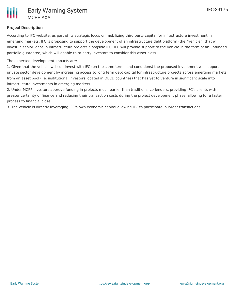# **Project Description**

According to IFC website, as part of its strategic focus on mobilizing third party capital for infrastructure investment in emerging markets, IFC is proposing to support the development of an infrastructure debt platform (the "vehicle") that will invest in senior loans in infrastructure projects alongside IFC. IFC will provide support to the vehicle in the form of an unfunded portfolio guarantee, which will enable third party investors to consider this asset class.

The expected development impacts are:

1. Given that the vehicle will co - invest with IFC (on the same terms and conditions) the proposed investment will support private sector development by increasing access to long term debt capital for infrastructure projects across emerging markets from an asset pool (i.e. institutional investors located in OECD countries) that has yet to venture in significant scale into infrastructure investments in emerging markets.

2. Under MCPP investors approve funding in projects much earlier than traditional co-lenders, providing IFC's clients with greater certainty of finance and reducing their transaction costs during the project development phase, allowing for a faster process to financial close.

3. The vehicle is directly leveraging IFC's own economic capital allowing IFC to participate in larger transactions.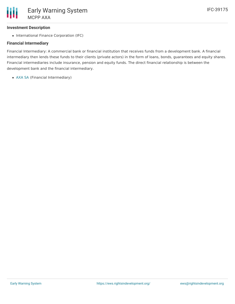### **Investment Description**

• International Finance Corporation (IFC)

### **Financial Intermediary**

Financial Intermediary: A commercial bank or financial institution that receives funds from a development bank. A financial intermediary then lends these funds to their clients (private actors) in the form of loans, bonds, guarantees and equity shares. Financial intermediaries include insurance, pension and equity funds. The direct financial relationship is between the development bank and the financial intermediary.

[AXA](file:///actor/858/) SA (Financial Intermediary)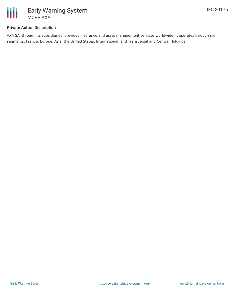

### **Private Actors Description**

AXA SA, through its subsidiaries, provides insurance and asset management services worldwide. It operates through six segments: France, Europe, Asia, the United States, International, and Transversal and Central Holdings.